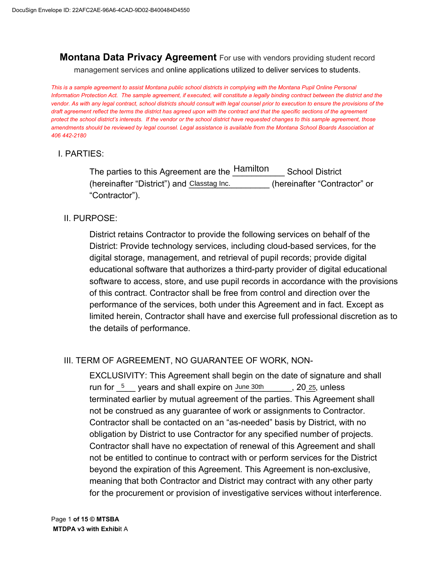**Montana Data Privacy Agreement** For use with vendors providing student record management services and online applications utilized to deliver services to students.

*This is a sample agreement to assist Montana public school districts in complying with the Montana Pupil Online Personal Information Protection Act. The sample agreement, if executed, will constitute a legally binding contract between the district and the vendor. As with any legal contract, school districts should consult with legal counsel prior to execution to ensure the provisions of the draft agreement reflect the terms the district has agreed upon with the contract and that the specific sections of the agreement protect the school district's interests. If the vendor or the school district have requested changes to this sample agreement, those amendments should be reviewed by legal counsel. Legal assistance is available from the Montana School Boards Association at 406 442-2180*

### I. PARTIES:

The parties to this Agreement are the  $\frac{\text{Hamilton}}{\text{J}}$  School District (hereinafter "District") and Classtag Inc. (hereinafter "Contractor" or "Contractor").

#### II. PURPOSE:

District retains Contractor to provide the following services on behalf of the District: Provide technology services, including cloud-based services, for the digital storage, management, and retrieval of pupil records; provide digital educational software that authorizes a third-party provider of digital educational software to access, store, and use pupil records in accordance with the provisions of this contract. Contractor shall be free from control and direction over the performance of the services, both under this Agreement and in fact. Except as limited herein, Contractor shall have and exercise full professional discretion as to the details of performance.

### III. TERM OF AGREEMENT, NO GUARANTEE OF WORK, NON-

EXCLUSIVITY: This Agreement shall begin on the date of signature and shall run for  $\frac{5}{2}$  years and shall expire on June 30th  $\frac{20}{25}$ , unless terminated earlier by mutual agreement of the parties. This Agreement shall not be construed as any guarantee of work or assignments to Contractor. Contractor shall be contacted on an "as-needed" basis by District, with no obligation by District to use Contractor for any specified number of projects. Contractor shall have no expectation of renewal of this Agreement and shall not be entitled to continue to contract with or perform services for the District beyond the expiration of this Agreement. This Agreement is non-exclusive, meaning that both Contractor and District may contract with any other party for the procurement or provision of investigative services without interference.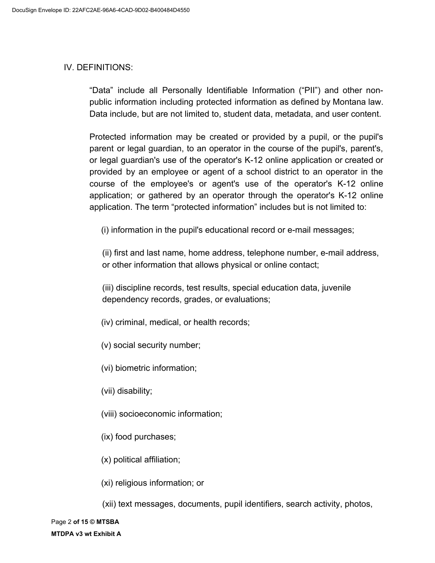#### IV. DEFINITIONS:

"Data" include all Personally Identifiable Information ("PII") and other nonpublic information including protected information as defined by Montana law. Data include, but are not limited to, student data, metadata, and user content.

Protected information may be created or provided by a pupil, or the pupil's parent or legal guardian, to an operator in the course of the pupil's, parent's, or legal guardian's use of the operator's K-12 online application or created or provided by an employee or agent of a school district to an operator in the course of the employee's or agent's use of the operator's K-12 online application; or gathered by an operator through the operator's K-12 online application. The term "protected information" includes but is not limited to:

(i) information in the pupil's educational record or e-mail messages;

(ii) first and last name, home address, telephone number, e-mail address, or other information that allows physical or online contact;

(iii) discipline records, test results, special education data, juvenile dependency records, grades, or evaluations;

- (iv) criminal, medical, or health records;
- (v) social security number;
- (vi) biometric information;
- (vii) disability;
- (viii) socioeconomic information;
- (ix) food purchases;
- (x) political affiliation;
- (xi) religious information; or

(xii) text messages, documents, pupil identifiers, search activity, photos,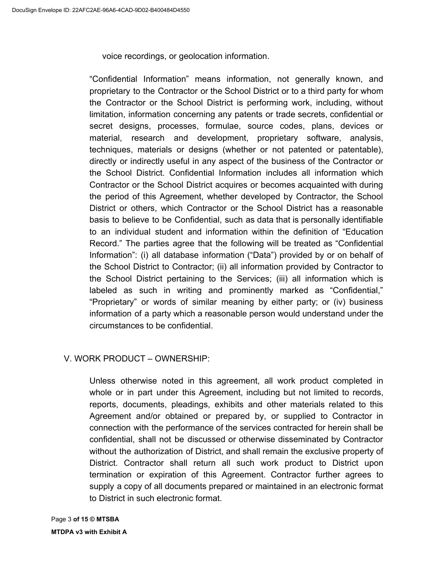voice recordings, or geolocation information.

"Confidential Information" means information, not generally known, and proprietary to the Contractor or the School District or to a third party for whom the Contractor or the School District is performing work, including, without limitation, information concerning any patents or trade secrets, confidential or secret designs, processes, formulae, source codes, plans, devices or material, research and development, proprietary software, analysis, techniques, materials or designs (whether or not patented or patentable), directly or indirectly useful in any aspect of the business of the Contractor or the School District. Confidential Information includes all information which Contractor or the School District acquires or becomes acquainted with during the period of this Agreement, whether developed by Contractor, the School District or others, which Contractor or the School District has a reasonable basis to believe to be Confidential, such as data that is personally identifiable to an individual student and information within the definition of "Education Record." The parties agree that the following will be treated as "Confidential Information": (i) all database information ("Data") provided by or on behalf of the School District to Contractor; (ii) all information provided by Contractor to the School District pertaining to the Services; (iii) all information which is labeled as such in writing and prominently marked as "Confidential," "Proprietary" or words of similar meaning by either party; or (iv) business information of a party which a reasonable person would understand under the circumstances to be confidential.

# V. WORK PRODUCT – OWNERSHIP:

Unless otherwise noted in this agreement, all work product completed in whole or in part under this Agreement, including but not limited to records, reports, documents, pleadings, exhibits and other materials related to this Agreement and/or obtained or prepared by, or supplied to Contractor in connection with the performance of the services contracted for herein shall be confidential, shall not be discussed or otherwise disseminated by Contractor without the authorization of District, and shall remain the exclusive property of District. Contractor shall return all such work product to District upon termination or expiration of this Agreement. Contractor further agrees to supply a copy of all documents prepared or maintained in an electronic format to District in such electronic format.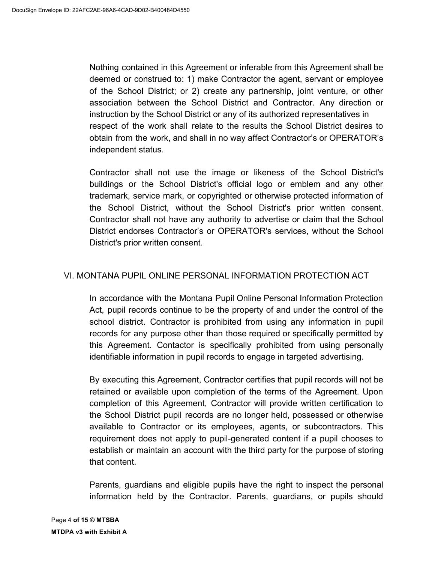Nothing contained in this Agreement or inferable from this Agreement shall be deemed or construed to: 1) make Contractor the agent, servant or employee of the School District; or 2) create any partnership, joint venture, or other association between the School District and Contractor. Any direction or instruction by the School District or any of its authorized representatives in respect of the work shall relate to the results the School District desires to obtain from the work, and shall in no way affect Contractor's or OPERATOR's independent status.

Contractor shall not use the image or likeness of the School District's buildings or the School District's official logo or emblem and any other trademark, service mark, or copyrighted or otherwise protected information of the School District, without the School District's prior written consent. Contractor shall not have any authority to advertise or claim that the School District endorses Contractor's or OPERATOR's services, without the School District's prior written consent.

# VI. MONTANA PUPIL ONLINE PERSONAL INFORMATION PROTECTION ACT

In accordance with the Montana Pupil Online Personal Information Protection Act, pupil records continue to be the property of and under the control of the school district. Contractor is prohibited from using any information in pupil records for any purpose other than those required or specifically permitted by this Agreement. Contactor is specifically prohibited from using personally identifiable information in pupil records to engage in targeted advertising.

By executing this Agreement, Contractor certifies that pupil records will not be retained or available upon completion of the terms of the Agreement. Upon completion of this Agreement, Contractor will provide written certification to the School District pupil records are no longer held, possessed or otherwise available to Contractor or its employees, agents, or subcontractors. This requirement does not apply to pupil-generated content if a pupil chooses to establish or maintain an account with the third party for the purpose of storing that content.

Parents, guardians and eligible pupils have the right to inspect the personal information held by the Contractor. Parents, guardians, or pupils should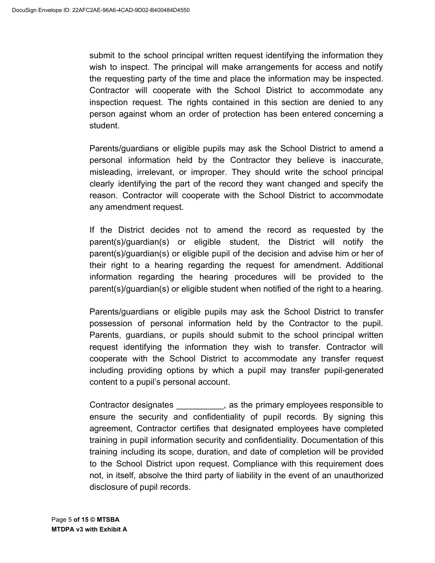submit to the school principal written request identifying the information they wish to inspect. The principal will make arrangements for access and notify the requesting party of the time and place the information may be inspected. Contractor will cooperate with the School District to accommodate any inspection request. The rights contained in this section are denied to any person against whom an order of protection has been entered concerning a student.

 Parents/guardians or eligible pupils may ask the School District to amend a personal information held by the Contractor they believe is inaccurate, misleading, irrelevant, or improper. They should write the school principal clearly identifying the part of the record they want changed and specify the reason. Contractor will cooperate with the School District to accommodate any amendment request.

 parent(s)/guardian(s) or eligible student, the District will notify the parent(s)/guardian(s) or eligible pupil of the decision and advise him or her of their right to a hearing regarding the request for amendment. Additional information regarding the hearing procedures will be provided to the If the District decides not to amend the record as requested by the parent(s)/guardian(s) or eligible student when notified of the right to a hearing.

 Parents/guardians or eligible pupils may ask the School District to transfer possession of personal information held by the Contractor to the pupil. Parents, guardians, or pupils should submit to the school principal written request identifying the information they wish to transfer. Contractor will cooperate with the School District to accommodate any transfer request including providing options by which a pupil may transfer pupil-generated content to a pupil's personal account.

 ensure the security and confidentiality of pupil records. By signing this agreement, Contractor certifies that designated employees have completed training in pupil information security and confidentiality. Documentation of this Contractor designates \_\_\_\_\_\_\_\_, as the primary employees responsible to training including its scope, duration, and date of completion will be provided to the School District upon request. Compliance with this requirement does not, in itself, absolve the third party of liability in the event of an unauthorized disclosure of pupil records.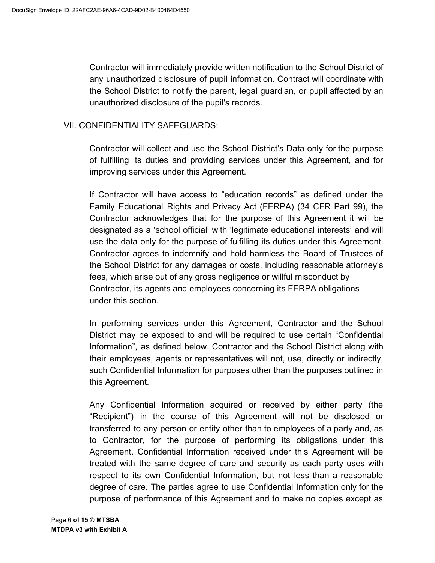Contractor will immediately provide written notification to the School District of any unauthorized disclosure of pupil information. Contract will coordinate with the School District to notify the parent, legal guardian, or pupil affected by an unauthorized disclosure of the pupil's records.

### VII. CONFIDENTIALITY SAFEGUARDS:

Contractor will collect and use the School District's Data only for the purpose of fulfilling its duties and providing services under this Agreement, and for improving services under this Agreement.

If Contractor will have access to "education records" as defined under the Family Educational Rights and Privacy Act (FERPA) (34 CFR Part 99), the Contractor acknowledges that for the purpose of this Agreement it will be designated as a 'school official' with 'legitimate educational interests' and will use the data only for the purpose of fulfilling its duties under this Agreement. Contractor agrees to indemnify and hold harmless the Board of Trustees of the School District for any damages or costs, including reasonable attorney's fees, which arise out of any gross negligence or willful misconduct by Contractor, its agents and employees concerning its FERPA obligations under this section.

In performing services under this Agreement, Contractor and the School District may be exposed to and will be required to use certain "Confidential Information", as defined below. Contractor and the School District along with their employees, agents or representatives will not, use, directly or indirectly, such Confidential Information for purposes other than the purposes outlined in this Agreement.

Any Confidential Information acquired or received by either party (the "Recipient") in the course of this Agreement will not be disclosed or transferred to any person or entity other than to employees of a party and, as to Contractor, for the purpose of performing its obligations under this Agreement. Confidential Information received under this Agreement will be treated with the same degree of care and security as each party uses with respect to its own Confidential Information, but not less than a reasonable degree of care. The parties agree to use Confidential Information only for the purpose of performance of this Agreement and to make no copies except as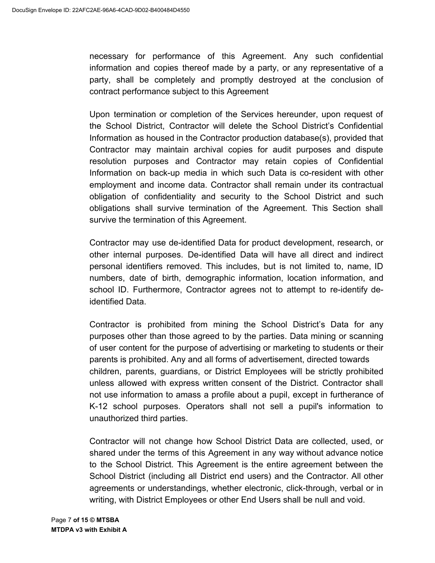necessary for performance of this Agreement. Any such confidential information and copies thereof made by a party, or any representative of a party, shall be completely and promptly destroyed at the conclusion of contract performance subject to this Agreement

Upon termination or completion of the Services hereunder, upon request of the School District, Contractor will delete the School District's Confidential Information as housed in the Contractor production database(s), provided that Contractor may maintain archival copies for audit purposes and dispute resolution purposes and Contractor may retain copies of Confidential Information on back-up media in which such Data is co-resident with other employment and income data. Contractor shall remain under its contractual obligation of confidentiality and security to the School District and such obligations shall survive termination of the Agreement. This Section shall survive the termination of this Agreement.

Contractor may use de-identified Data for product development, research, or other internal purposes. De-identified Data will have all direct and indirect personal identifiers removed. This includes, but is not limited to, name, ID numbers, date of birth, demographic information, location information, and school ID. Furthermore, Contractor agrees not to attempt to re-identify deidentified Data.

Contractor is prohibited from mining the School District's Data for any purposes other than those agreed to by the parties. Data mining or scanning of user content for the purpose of advertising or marketing to students or their parents is prohibited. Any and all forms of advertisement, directed towards children, parents, guardians, or District Employees will be strictly prohibited unless allowed with express written consent of the District. Contractor shall not use information to amass a profile about a pupil, except in furtherance of K-12 school purposes. Operators shall not sell a pupil's information to unauthorized third parties.

Contractor will not change how School District Data are collected, used, or shared under the terms of this Agreement in any way without advance notice to the School District. This Agreement is the entire agreement between the School District (including all District end users) and the Contractor. All other agreements or understandings, whether electronic, click-through, verbal or in writing, with District Employees or other End Users shall be null and void.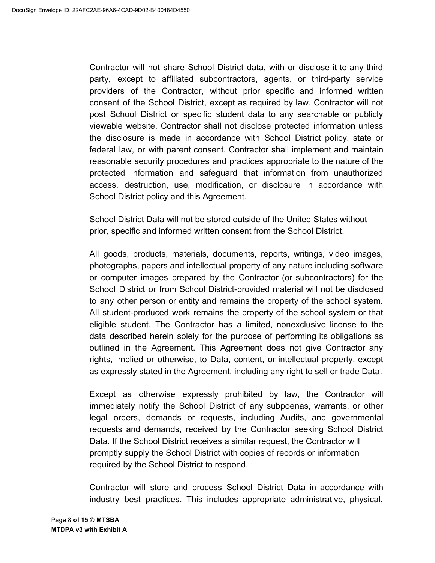Contractor will not share School District data, with or disclose it to any third party, except to affiliated subcontractors, agents, or third-party service providers of the Contractor, without prior specific and informed written consent of the School District, except as required by law. Contractor will not post School District or specific student data to any searchable or publicly viewable website. Contractor shall not disclose protected information unless the disclosure is made in accordance with School District policy, state or federal law, or with parent consent. Contractor shall implement and maintain reasonable security procedures and practices appropriate to the nature of the protected information and safeguard that information from unauthorized access, destruction, use, modification, or disclosure in accordance with School District policy and this Agreement.

School District Data will not be stored outside of the United States without prior, specific and informed written consent from the School District.

All goods, products, materials, documents, reports, writings, video images, photographs, papers and intellectual property of any nature including software or computer images prepared by the Contractor (or subcontractors) for the School District or from School District-provided material will not be disclosed to any other person or entity and remains the property of the school system. All student-produced work remains the property of the school system or that eligible student. The Contractor has a limited, nonexclusive license to the data described herein solely for the purpose of performing its obligations as outlined in the Agreement. This Agreement does not give Contractor any rights, implied or otherwise, to Data, content, or intellectual property, except as expressly stated in the Agreement, including any right to sell or trade Data.

Except as otherwise expressly prohibited by law, the Contractor will immediately notify the School District of any subpoenas, warrants, or other legal orders, demands or requests, including Audits, and governmental requests and demands, received by the Contractor seeking School District Data. If the School District receives a similar request, the Contractor will promptly supply the School District with copies of records or information required by the School District to respond.

Contractor will store and process School District Data in accordance with industry best practices. This includes appropriate administrative, physical,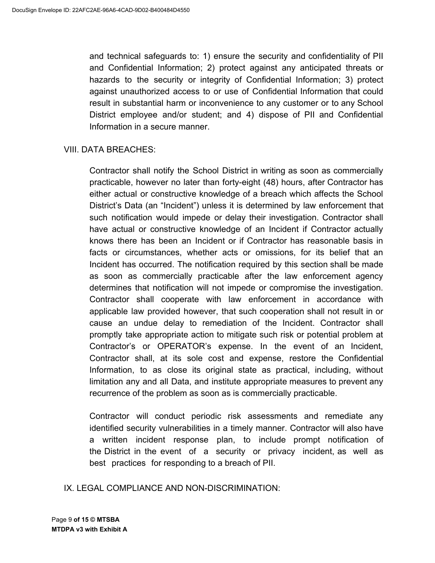and technical safeguards to: 1) ensure the security and confidentiality of PII and Confidential Information; 2) protect against any anticipated threats or hazards to the security or integrity of Confidential Information; 3) protect against unauthorized access to or use of Confidential Information that could result in substantial harm or inconvenience to any customer or to any School District employee and/or student; and 4) dispose of PII and Confidential Information in a secure manner.

### VIII. DATA BREACHES:

 practicable, however no later than forty-eight (48) hours, after Contractor has either actual or constructive knowledge of a breach which affects the School District's Data (an "Incident") unless it is determined by law enforcement that have actual or constructive knowledge of an Incident if Contractor actually facts or circumstances, whether acts or omissions, for its belief that an Incident has occurred. The notification required by this section shall be made as soon as commercially practicable after the law enforcement agency determines that notification will not impede or compromise the investigation. applicable law provided however, that such cooperation shall not result in or cause an undue delay to remediation of the Incident. Contractor shall Contractor's or OPERATOR's expense. In the event of an Incident, Contractor shall, at its sole cost and expense, restore the Confidential Information, to as close its original state as practical, including, without limitation any and all Data, and institute appropriate measures to prevent any recurrence of the problem as soon as is commercially practicable. Contractor shall notify the School District in writing as soon as commercially such notification would impede or delay their investigation. Contractor shall knows there has been an Incident or if Contractor has reasonable basis in Contractor shall cooperate with law enforcement in accordance with promptly take appropriate action to mitigate such risk or potential problem at

 Contractor will conduct periodic risk assessments and remediate any identified security vulnerabilities in a timely manner. Contractor will also have a written incident response plan, to include prompt notification of the District in the event of a security or privacy incident, as well as best practices for responding to a breach of PII.

IX. LEGAL COMPLIANCE AND NON-DISCRIMINATION: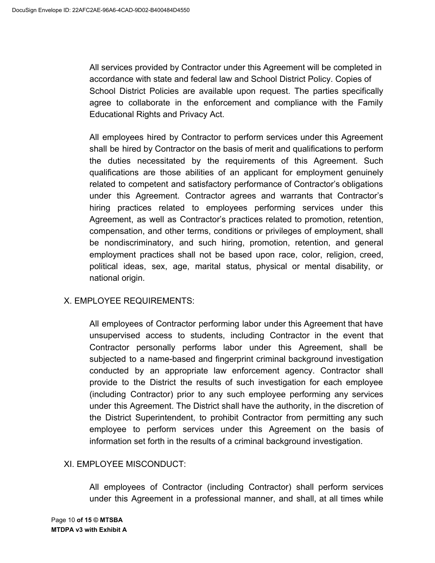All services provided by Contractor under this Agreement will be completed in accordance with state and federal law and School District Policy. Copies of School District Policies are available upon request. The parties specifically agree to collaborate in the enforcement and compliance with the Family Educational Rights and Privacy Act.

All employees hired by Contractor to perform services under this Agreement shall be hired by Contractor on the basis of merit and qualifications to perform the duties necessitated by the requirements of this Agreement. Such qualifications are those abilities of an applicant for employment genuinely related to competent and satisfactory performance of Contractor's obligations under this Agreement. Contractor agrees and warrants that Contractor's hiring practices related to employees performing services under this Agreement, as well as Contractor's practices related to promotion, retention, compensation, and other terms, conditions or privileges of employment, shall be nondiscriminatory, and such hiring, promotion, retention, and general employment practices shall not be based upon race, color, religion, creed, political ideas, sex, age, marital status, physical or mental disability, or national origin.

# X. EMPLOYEE REQUIREMENTS:

All employees of Contractor performing labor under this Agreement that have unsupervised access to students, including Contractor in the event that Contractor personally performs labor under this Agreement, shall be subjected to a name-based and fingerprint criminal background investigation conducted by an appropriate law enforcement agency. Contractor shall provide to the District the results of such investigation for each employee (including Contractor) prior to any such employee performing any services under this Agreement. The District shall have the authority, in the discretion of the District Superintendent, to prohibit Contractor from permitting any such employee to perform services under this Agreement on the basis of information set forth in the results of a criminal background investigation.

# XI. EMPLOYEE MISCONDUCT:

All employees of Contractor (including Contractor) shall perform services under this Agreement in a professional manner, and shall, at all times while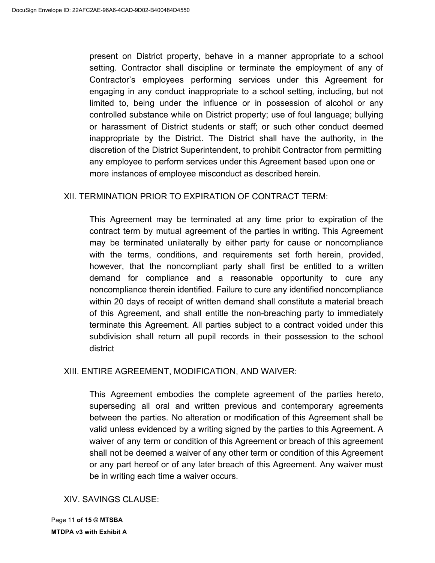present on District property, behave in a manner appropriate to a school setting. Contractor shall discipline or terminate the employment of any of Contractor's employees performing services under this Agreement for engaging in any conduct inappropriate to a school setting, including, but not limited to, being under the influence or in possession of alcohol or any controlled substance while on District property; use of foul language; bullying or harassment of District students or staff; or such other conduct deemed inappropriate by the District. The District shall have the authority, in the discretion of the District Superintendent, to prohibit Contractor from permitting any employee to perform services under this Agreement based upon one or more instances of employee misconduct as described herein.

### XII. TERMINATION PRIOR TO EXPIRATION OF CONTRACT TERM:

This Agreement may be terminated at any time prior to expiration of the contract term by mutual agreement of the parties in writing. This Agreement may be terminated unilaterally by either party for cause or noncompliance with the terms, conditions, and requirements set forth herein, provided, however, that the noncompliant party shall first be entitled to a written demand for compliance and a reasonable opportunity to cure any noncompliance therein identified. Failure to cure any identified noncompliance within 20 days of receipt of written demand shall constitute a material breach of this Agreement, and shall entitle the non-breaching party to immediately terminate this Agreement. All parties subject to a contract voided under this subdivision shall return all pupil records in their possession to the school district

### XIII. ENTIRE AGREEMENT, MODIFICATION, AND WAIVER:

This Agreement embodies the complete agreement of the parties hereto, superseding all oral and written previous and contemporary agreements between the parties. No alteration or modification of this Agreement shall be valid unless evidenced by a writing signed by the parties to this Agreement. A waiver of any term or condition of this Agreement or breach of this agreement shall not be deemed a waiver of any other term or condition of this Agreement or any part hereof or of any later breach of this Agreement. Any waiver must be in writing each time a waiver occurs.

### XIV. SAVINGS CLAUSE: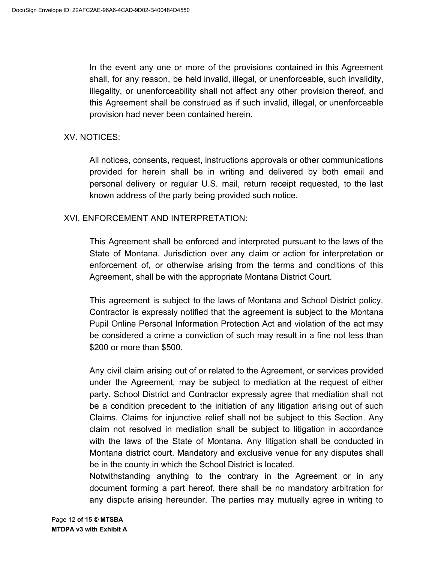In the event any one or more of the provisions contained in this Agreement shall, for any reason, be held invalid, illegal, or unenforceable, such invalidity, illegality, or unenforceability shall not affect any other provision thereof, and this Agreement shall be construed as if such invalid, illegal, or unenforceable provision had never been contained herein.

### XV. NOTICES:

All notices, consents, request, instructions approvals or other communications provided for herein shall be in writing and delivered by both email and personal delivery or regular U.S. mail, return receipt requested, to the last known address of the party being provided such notice.

# XVI. ENFORCEMENT AND INTERPRETATION:

This Agreement shall be enforced and interpreted pursuant to the laws of the State of Montana. Jurisdiction over any claim or action for interpretation or enforcement of, or otherwise arising from the terms and conditions of this Agreement, shall be with the appropriate Montana District Court.

This agreement is subject to the laws of Montana and School District policy. Contractor is expressly notified that the agreement is subject to the Montana Pupil Online Personal Information Protection Act and violation of the act may be considered a crime a conviction of such may result in a fine not less than \$200 or more than \$500.

Any civil claim arising out of or related to the Agreement, or services provided under the Agreement, may be subject to mediation at the request of either party. School District and Contractor expressly agree that mediation shall not be a condition precedent to the initiation of any litigation arising out of such Claims. Claims for injunctive relief shall not be subject to this Section. Any claim not resolved in mediation shall be subject to litigation in accordance with the laws of the State of Montana. Any litigation shall be conducted in Montana district court. Mandatory and exclusive venue for any disputes shall be in the county in which the School District is located.

Notwithstanding anything to the contrary in the Agreement or in any document forming a part hereof, there shall be no mandatory arbitration for any dispute arising hereunder. The parties may mutually agree in writing to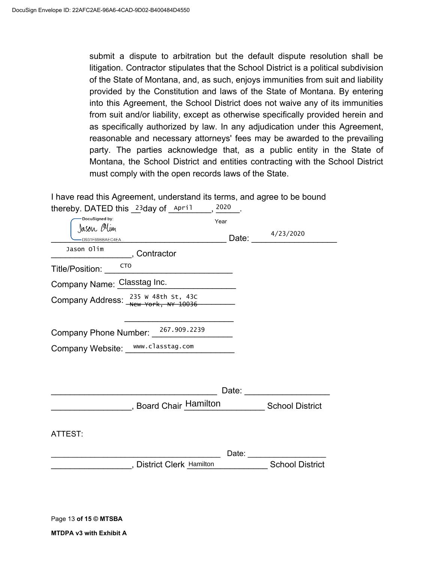submit a dispute to arbitration but the default dispute resolution shall be litigation. Contractor stipulates that the School District is a political subdivision of the State of Montana, and, as such, enjoys immunities from suit and liability provided by the Constitution and laws of the State of Montana. By entering into this Agreement, the School District does not waive any of its immunities from suit and/or liability, except as otherwise specifically provided herein and as specifically authorized by law. In any adjudication under this Agreement, reasonable and necessary attorneys' fees may be awarded to the prevailing party. The parties acknowledge that, as a public entity in the State of Montana, the School District and entities contracting with the School District must comply with the open records laws of the State.

I have read this Agreement, understand its terms, and agree to be bound

| thereby. DATED this $23$ day of April           |                                      | 2020          |                        |
|-------------------------------------------------|--------------------------------------|---------------|------------------------|
| DocuSigned by:<br>Jason Olim<br>D931F69BBAEC4EA |                                      | Year<br>Date: | 4/23/2020              |
| Jason Olim                                      | , Contractor                         |               |                        |
| <b>CTO</b><br>Title/Position:                   |                                      |               |                        |
| Company Name: Classtag Inc.                     |                                      |               |                        |
| Company Address: $^{235}$ W 48th st, 43c        |                                      |               |                        |
| Company Phone Number: 267.909.2239              |                                      |               |                        |
| Company Website: www.classtag.com               |                                      |               |                        |
|                                                 |                                      |               |                        |
|                                                 |                                      |               |                        |
|                                                 | Board Chair Hamilton School District |               |                        |
| ATTEST:                                         |                                      |               |                        |
|                                                 |                                      |               |                        |
|                                                 | , District Clerk Hamilton            |               | <b>School District</b> |
|                                                 |                                      |               |                        |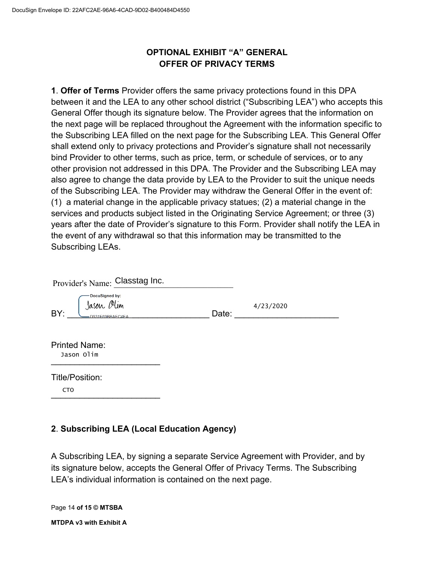# **OPTIONAL EXHIBIT "A" GENERAL OFFER OF PRIVACY TERMS**

**1**. **Offer of Terms** Provider offers the same privacy protections found in this DPA between it and the LEA to any other school district ("Subscribing LEA") who accepts this General Offer though its signature below. The Provider agrees that the information on the next page will be replaced throughout the Agreement with the information specific to the Subscribing LEA filled on the next page for the Subscribing LEA. This General Offer shall extend only to privacy protections and Provider's signature shall not necessarily bind Provider to other terms, such as price, term, or schedule of services, or to any other provision not addressed in this DPA. The Provider and the Subscribing LEA may also agree to change the data provide by LEA to the Provider to suit the unique needs of the Subscribing LEA. The Provider may withdraw the General Offer in the event of: (1) a material change in the applicable privacy statues; (2) a material change in the services and products subject listed in the Originating Service Agreement; or three (3) years after the date of Provider's signature to this Form. Provider shall notify the LEA in the event of any withdrawal so that this information may be transmitted to the Subscribing LEAs.

| Provider's Name: Classtag Inc.                         |       |           |  |
|--------------------------------------------------------|-------|-----------|--|
| DocuSigned by:<br>Jason Olim<br>BY:<br>D931F69BBAEC4EA | Date: | 4/23/2020 |  |
| <b>Printed Name:</b><br>Jason Olim                     |       |           |  |
| Title/Position:<br>C <sub>T</sub> O                    |       |           |  |

# **2**. **Subscribing LEA (Local Education Agency)**

A Subscribing LEA, by signing a separate Service Agreement with Provider, and by its signature below, accepts the General Offer of Privacy Terms. The Subscribing LEA's individual information is contained on the next page.

Page 14 **of 15 © MTSBA MTDPA v3 with Exhibit A**